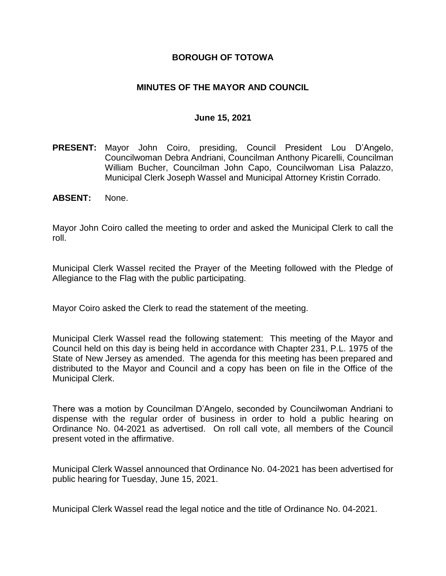## **BOROUGH OF TOTOWA**

## **MINUTES OF THE MAYOR AND COUNCIL**

### **June 15, 2021**

- **PRESENT:** Mayor John Coiro, presiding, Council President Lou D'Angelo, Councilwoman Debra Andriani, Councilman Anthony Picarelli, Councilman William Bucher, Councilman John Capo, Councilwoman Lisa Palazzo, Municipal Clerk Joseph Wassel and Municipal Attorney Kristin Corrado.
- **ABSENT:** None.

Mayor John Coiro called the meeting to order and asked the Municipal Clerk to call the roll.

Municipal Clerk Wassel recited the Prayer of the Meeting followed with the Pledge of Allegiance to the Flag with the public participating.

Mayor Coiro asked the Clerk to read the statement of the meeting.

Municipal Clerk Wassel read the following statement: This meeting of the Mayor and Council held on this day is being held in accordance with Chapter 231, P.L. 1975 of the State of New Jersey as amended. The agenda for this meeting has been prepared and distributed to the Mayor and Council and a copy has been on file in the Office of the Municipal Clerk.

There was a motion by Councilman D'Angelo, seconded by Councilwoman Andriani to dispense with the regular order of business in order to hold a public hearing on Ordinance No. 04-2021 as advertised. On roll call vote, all members of the Council present voted in the affirmative.

Municipal Clerk Wassel announced that Ordinance No. 04-2021 has been advertised for public hearing for Tuesday, June 15, 2021.

Municipal Clerk Wassel read the legal notice and the title of Ordinance No. 04-2021.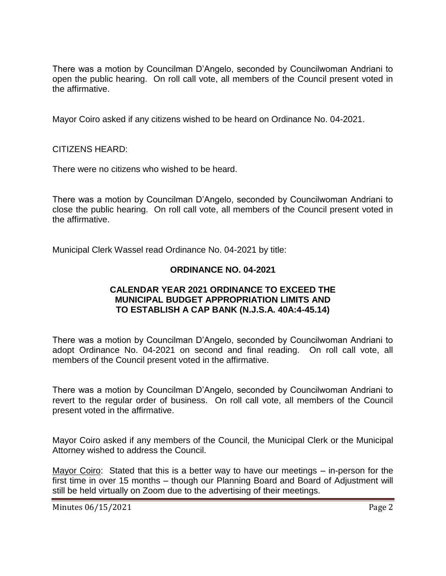There was a motion by Councilman D'Angelo, seconded by Councilwoman Andriani to open the public hearing. On roll call vote, all members of the Council present voted in the affirmative.

Mayor Coiro asked if any citizens wished to be heard on Ordinance No. 04-2021.

### CITIZENS HEARD:

There were no citizens who wished to be heard.

There was a motion by Councilman D'Angelo, seconded by Councilwoman Andriani to close the public hearing. On roll call vote, all members of the Council present voted in the affirmative.

Municipal Clerk Wassel read Ordinance No. 04-2021 by title:

# **ORDINANCE NO. 04-2021**

### **CALENDAR YEAR 2021 ORDINANCE TO EXCEED THE MUNICIPAL BUDGET APPROPRIATION LIMITS AND TO ESTABLISH A CAP BANK (N.J.S.A. 40A:4-45.14)**

There was a motion by Councilman D'Angelo, seconded by Councilwoman Andriani to adopt Ordinance No. 04-2021 on second and final reading. On roll call vote, all members of the Council present voted in the affirmative.

There was a motion by Councilman D'Angelo, seconded by Councilwoman Andriani to revert to the regular order of business. On roll call vote, all members of the Council present voted in the affirmative.

Mayor Coiro asked if any members of the Council, the Municipal Clerk or the Municipal Attorney wished to address the Council.

Mayor Coiro: Stated that this is a better way to have our meetings – in-person for the first time in over 15 months – though our Planning Board and Board of Adjustment will still be held virtually on Zoom due to the advertising of their meetings.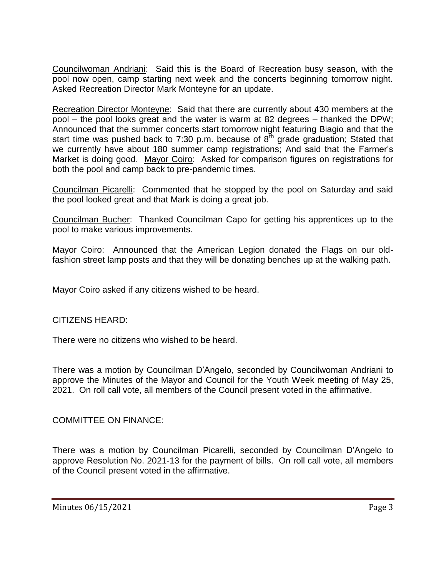Councilwoman Andriani: Said this is the Board of Recreation busy season, with the pool now open, camp starting next week and the concerts beginning tomorrow night. Asked Recreation Director Mark Monteyne for an update.

Recreation Director Monteyne: Said that there are currently about 430 members at the pool – the pool looks great and the water is warm at 82 degrees – thanked the DPW; Announced that the summer concerts start tomorrow night featuring Biagio and that the start time was pushed back to 7:30 p.m. because of  $8<sup>th</sup>$  grade graduation; Stated that we currently have about 180 summer camp registrations; And said that the Farmer's Market is doing good. Mayor Coiro: Asked for comparison figures on registrations for both the pool and camp back to pre-pandemic times.

Councilman Picarelli: Commented that he stopped by the pool on Saturday and said the pool looked great and that Mark is doing a great job.

Councilman Bucher: Thanked Councilman Capo for getting his apprentices up to the pool to make various improvements.

Mayor Coiro: Announced that the American Legion donated the Flags on our oldfashion street lamp posts and that they will be donating benches up at the walking path.

Mayor Coiro asked if any citizens wished to be heard.

CITIZENS HEARD:

There were no citizens who wished to be heard.

There was a motion by Councilman D'Angelo, seconded by Councilwoman Andriani to approve the Minutes of the Mayor and Council for the Youth Week meeting of May 25, 2021. On roll call vote, all members of the Council present voted in the affirmative.

COMMITTEE ON FINANCE:

There was a motion by Councilman Picarelli, seconded by Councilman D'Angelo to approve Resolution No. 2021-13 for the payment of bills. On roll call vote, all members of the Council present voted in the affirmative.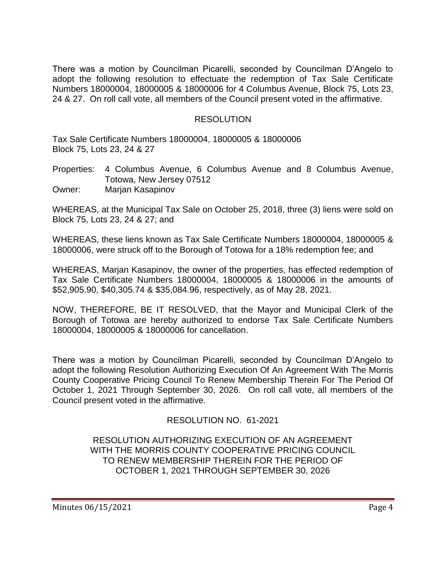There was a motion by Councilman Picarelli, seconded by Councilman D'Angelo to adopt the following resolution to effectuate the redemption of Tax Sale Certificate Numbers 18000004, 18000005 & 18000006 for 4 Columbus Avenue, Block 75, Lots 23, 24 & 27. On roll call vote, all members of the Council present voted in the affirmative.

### RESOLUTION

Tax Sale Certificate Numbers 18000004, 18000005 & 18000006 Block 75, Lots 23, 24 & 27

Properties: 4 Columbus Avenue, 6 Columbus Avenue and 8 Columbus Avenue, Totowa, New Jersey 07512 Owner: Marjan Kasapinov

WHEREAS, at the Municipal Tax Sale on October 25, 2018, three (3) liens were sold on Block 75, Lots 23, 24 & 27; and

WHEREAS, these liens known as Tax Sale Certificate Numbers 18000004, 18000005 & 18000006, were struck off to the Borough of Totowa for a 18% redemption fee; and

WHEREAS, Marjan Kasapinov, the owner of the properties, has effected redemption of Tax Sale Certificate Numbers 18000004, 18000005 & 18000006 in the amounts of \$52,905.90, \$40,305.74 & \$35,084.96, respectively, as of May 28, 2021.

NOW, THEREFORE, BE IT RESOLVED, that the Mayor and Municipal Clerk of the Borough of Totowa are hereby authorized to endorse Tax Sale Certificate Numbers 18000004, 18000005 & 18000006 for cancellation.

There was a motion by Councilman Picarelli, seconded by Councilman D'Angelo to adopt the following Resolution Authorizing Execution Of An Agreement With The Morris County Cooperative Pricing Council To Renew Membership Therein For The Period Of October 1, 2021 Through September 30, 2026. On roll call vote, all members of the Council present voted in the affirmative.

# RESOLUTION NO. 61-2021

RESOLUTION AUTHORIZING EXECUTION OF AN AGREEMENT WITH THE MORRIS COUNTY COOPERATIVE PRICING COUNCIL TO RENEW MEMBERSHIP THEREIN FOR THE PERIOD OF OCTOBER 1, 2021 THROUGH SEPTEMBER 30, 2026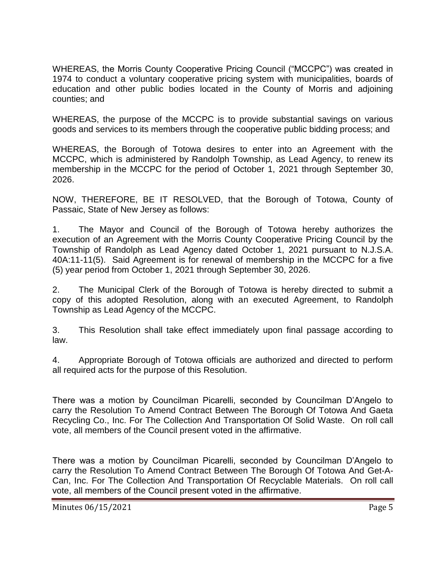WHEREAS, the Morris County Cooperative Pricing Council ("MCCPC") was created in 1974 to conduct a voluntary cooperative pricing system with municipalities, boards of education and other public bodies located in the County of Morris and adjoining counties; and

WHEREAS, the purpose of the MCCPC is to provide substantial savings on various goods and services to its members through the cooperative public bidding process; and

WHEREAS, the Borough of Totowa desires to enter into an Agreement with the MCCPC, which is administered by Randolph Township, as Lead Agency, to renew its membership in the MCCPC for the period of October 1, 2021 through September 30, 2026.

NOW, THEREFORE, BE IT RESOLVED, that the Borough of Totowa, County of Passaic, State of New Jersey as follows:

1. The Mayor and Council of the Borough of Totowa hereby authorizes the execution of an Agreement with the Morris County Cooperative Pricing Council by the Township of Randolph as Lead Agency dated October 1, 2021 pursuant to N.J.S.A. 40A:11-11(5). Said Agreement is for renewal of membership in the MCCPC for a five (5) year period from October 1, 2021 through September 30, 2026.

2. The Municipal Clerk of the Borough of Totowa is hereby directed to submit a copy of this adopted Resolution, along with an executed Agreement, to Randolph Township as Lead Agency of the MCCPC.

3. This Resolution shall take effect immediately upon final passage according to law.

4. Appropriate Borough of Totowa officials are authorized and directed to perform all required acts for the purpose of this Resolution.

There was a motion by Councilman Picarelli, seconded by Councilman D'Angelo to carry the Resolution To Amend Contract Between The Borough Of Totowa And Gaeta Recycling Co., Inc. For The Collection And Transportation Of Solid Waste. On roll call vote, all members of the Council present voted in the affirmative.

There was a motion by Councilman Picarelli, seconded by Councilman D'Angelo to carry the Resolution To Amend Contract Between The Borough Of Totowa And Get-A-Can, Inc. For The Collection And Transportation Of Recyclable Materials. On roll call vote, all members of the Council present voted in the affirmative.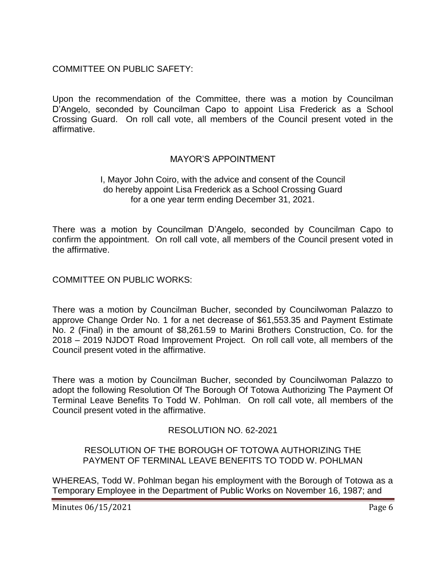# COMMITTEE ON PUBLIC SAFETY:

Upon the recommendation of the Committee, there was a motion by Councilman D'Angelo, seconded by Councilman Capo to appoint Lisa Frederick as a School Crossing Guard. On roll call vote, all members of the Council present voted in the affirmative.

# MAYOR'S APPOINTMENT

### I, Mayor John Coiro, with the advice and consent of the Council do hereby appoint Lisa Frederick as a School Crossing Guard for a one year term ending December 31, 2021.

There was a motion by Councilman D'Angelo, seconded by Councilman Capo to confirm the appointment. On roll call vote, all members of the Council present voted in the affirmative.

COMMITTEE ON PUBLIC WORKS:

There was a motion by Councilman Bucher, seconded by Councilwoman Palazzo to approve Change Order No. 1 for a net decrease of \$61,553.35 and Payment Estimate No. 2 (Final) in the amount of \$8,261.59 to Marini Brothers Construction, Co. for the 2018 – 2019 NJDOT Road Improvement Project. On roll call vote, all members of the Council present voted in the affirmative.

There was a motion by Councilman Bucher, seconded by Councilwoman Palazzo to adopt the following Resolution Of The Borough Of Totowa Authorizing The Payment Of Terminal Leave Benefits To Todd W. Pohlman. On roll call vote, all members of the Council present voted in the affirmative.

# RESOLUTION NO. 62-2021

### RESOLUTION OF THE BOROUGH OF TOTOWA AUTHORIZING THE PAYMENT OF TERMINAL LEAVE BENEFITS TO TODD W. POHLMAN

WHEREAS, Todd W. Pohlman began his employment with the Borough of Totowa as a Temporary Employee in the Department of Public Works on November 16, 1987; and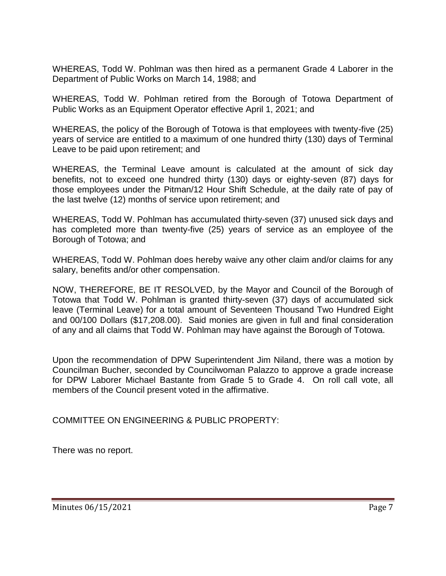WHEREAS, Todd W. Pohlman was then hired as a permanent Grade 4 Laborer in the Department of Public Works on March 14, 1988; and

WHEREAS, Todd W. Pohlman retired from the Borough of Totowa Department of Public Works as an Equipment Operator effective April 1, 2021; and

WHEREAS, the policy of the Borough of Totowa is that employees with twenty-five (25) years of service are entitled to a maximum of one hundred thirty (130) days of Terminal Leave to be paid upon retirement; and

WHEREAS, the Terminal Leave amount is calculated at the amount of sick day benefits, not to exceed one hundred thirty (130) days or eighty-seven (87) days for those employees under the Pitman/12 Hour Shift Schedule, at the daily rate of pay of the last twelve (12) months of service upon retirement; and

WHEREAS, Todd W. Pohlman has accumulated thirty-seven (37) unused sick days and has completed more than twenty-five (25) years of service as an employee of the Borough of Totowa; and

WHEREAS, Todd W. Pohlman does hereby waive any other claim and/or claims for any salary, benefits and/or other compensation.

NOW, THEREFORE, BE IT RESOLVED, by the Mayor and Council of the Borough of Totowa that Todd W. Pohlman is granted thirty-seven (37) days of accumulated sick leave (Terminal Leave) for a total amount of Seventeen Thousand Two Hundred Eight and 00/100 Dollars (\$17,208.00). Said monies are given in full and final consideration of any and all claims that Todd W. Pohlman may have against the Borough of Totowa.

Upon the recommendation of DPW Superintendent Jim Niland, there was a motion by Councilman Bucher, seconded by Councilwoman Palazzo to approve a grade increase for DPW Laborer Michael Bastante from Grade 5 to Grade 4. On roll call vote, all members of the Council present voted in the affirmative.

COMMITTEE ON ENGINEERING & PUBLIC PROPERTY:

There was no report.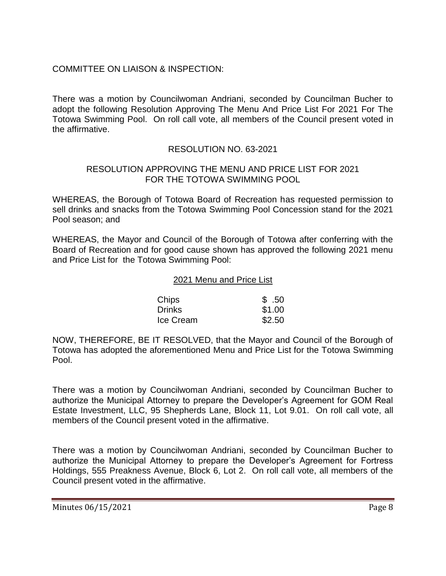# COMMITTEE ON LIAISON & INSPECTION:

There was a motion by Councilwoman Andriani, seconded by Councilman Bucher to adopt the following Resolution Approving The Menu And Price List For 2021 For The Totowa Swimming Pool. On roll call vote, all members of the Council present voted in the affirmative.

# RESOLUTION NO. 63-2021

### RESOLUTION APPROVING THE MENU AND PRICE LIST FOR 2021 FOR THE TOTOWA SWIMMING POOL

WHEREAS, the Borough of Totowa Board of Recreation has requested permission to sell drinks and snacks from the Totowa Swimming Pool Concession stand for the 2021 Pool season; and

WHEREAS, the Mayor and Council of the Borough of Totowa after conferring with the Board of Recreation and for good cause shown has approved the following 2021 menu and Price List for the Totowa Swimming Pool:

### 2021 Menu and Price List

| Chips         | \$.50  |
|---------------|--------|
| <b>Drinks</b> | \$1.00 |
| Ice Cream     | \$2.50 |

NOW, THEREFORE, BE IT RESOLVED, that the Mayor and Council of the Borough of Totowa has adopted the aforementioned Menu and Price List for the Totowa Swimming Pool.

There was a motion by Councilwoman Andriani, seconded by Councilman Bucher to authorize the Municipal Attorney to prepare the Developer's Agreement for GOM Real Estate Investment, LLC, 95 Shepherds Lane, Block 11, Lot 9.01. On roll call vote, all members of the Council present voted in the affirmative.

There was a motion by Councilwoman Andriani, seconded by Councilman Bucher to authorize the Municipal Attorney to prepare the Developer's Agreement for Fortress Holdings, 555 Preakness Avenue, Block 6, Lot 2. On roll call vote, all members of the Council present voted in the affirmative.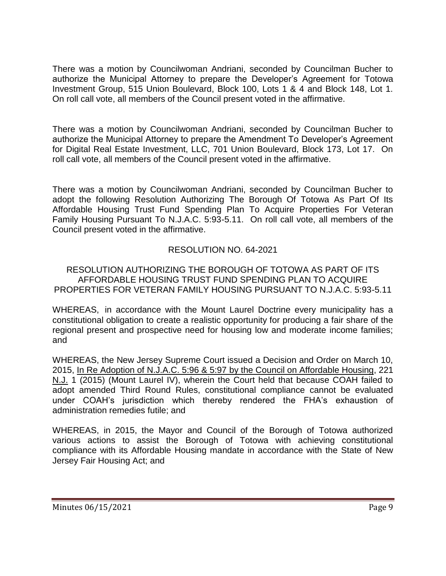There was a motion by Councilwoman Andriani, seconded by Councilman Bucher to authorize the Municipal Attorney to prepare the Developer's Agreement for Totowa Investment Group, 515 Union Boulevard, Block 100, Lots 1 & 4 and Block 148, Lot 1. On roll call vote, all members of the Council present voted in the affirmative.

There was a motion by Councilwoman Andriani, seconded by Councilman Bucher to authorize the Municipal Attorney to prepare the Amendment To Developer's Agreement for Digital Real Estate Investment, LLC, 701 Union Boulevard, Block 173, Lot 17. On roll call vote, all members of the Council present voted in the affirmative.

There was a motion by Councilwoman Andriani, seconded by Councilman Bucher to adopt the following Resolution Authorizing The Borough Of Totowa As Part Of Its Affordable Housing Trust Fund Spending Plan To Acquire Properties For Veteran Family Housing Pursuant To N.J.A.C. 5:93-5.11. On roll call vote, all members of the Council present voted in the affirmative.

# RESOLUTION NO. 64-2021

RESOLUTION AUTHORIZING THE BOROUGH OF TOTOWA AS PART OF ITS AFFORDABLE HOUSING TRUST FUND SPENDING PLAN TO ACQUIRE PROPERTIES FOR VETERAN FAMILY HOUSING PURSUANT TO N.J.A.C. 5:93-5.11

WHEREAS, in accordance with the Mount Laurel Doctrine every municipality has a constitutional obligation to create a realistic opportunity for producing a fair share of the regional present and prospective need for housing low and moderate income families; and

WHEREAS, the New Jersey Supreme Court issued a Decision and Order on March 10, 2015, In Re Adoption of N.J.A.C. 5:96 & 5:97 by the Council on Affordable Housing, 221 N.J. 1 (2015) (Mount Laurel IV), wherein the Court held that because COAH failed to adopt amended Third Round Rules, constitutional compliance cannot be evaluated under COAH's jurisdiction which thereby rendered the FHA's exhaustion of administration remedies futile; and

WHEREAS, in 2015, the Mayor and Council of the Borough of Totowa authorized various actions to assist the Borough of Totowa with achieving constitutional compliance with its Affordable Housing mandate in accordance with the State of New Jersey Fair Housing Act; and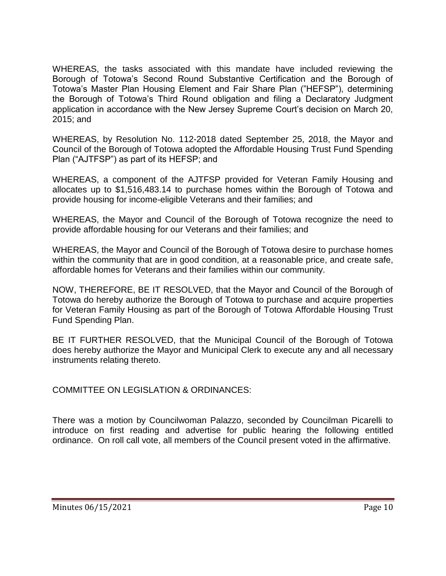WHEREAS, the tasks associated with this mandate have included reviewing the Borough of Totowa's Second Round Substantive Certification and the Borough of Totowa's Master Plan Housing Element and Fair Share Plan ("HEFSP"), determining the Borough of Totowa's Third Round obligation and filing a Declaratory Judgment application in accordance with the New Jersey Supreme Court's decision on March 20, 2015; and

WHEREAS, by Resolution No. 112-2018 dated September 25, 2018, the Mayor and Council of the Borough of Totowa adopted the Affordable Housing Trust Fund Spending Plan ("AJTFSP") as part of its HEFSP; and

WHEREAS, a component of the AJTFSP provided for Veteran Family Housing and allocates up to \$1,516,483.14 to purchase homes within the Borough of Totowa and provide housing for income-eligible Veterans and their families; and

WHEREAS, the Mayor and Council of the Borough of Totowa recognize the need to provide affordable housing for our Veterans and their families; and

WHEREAS, the Mayor and Council of the Borough of Totowa desire to purchase homes within the community that are in good condition, at a reasonable price, and create safe, affordable homes for Veterans and their families within our community.

NOW, THEREFORE, BE IT RESOLVED, that the Mayor and Council of the Borough of Totowa do hereby authorize the Borough of Totowa to purchase and acquire properties for Veteran Family Housing as part of the Borough of Totowa Affordable Housing Trust Fund Spending Plan.

BE IT FURTHER RESOLVED, that the Municipal Council of the Borough of Totowa does hereby authorize the Mayor and Municipal Clerk to execute any and all necessary instruments relating thereto.

COMMITTEE ON LEGISLATION & ORDINANCES:

There was a motion by Councilwoman Palazzo, seconded by Councilman Picarelli to introduce on first reading and advertise for public hearing the following entitled ordinance. On roll call vote, all members of the Council present voted in the affirmative.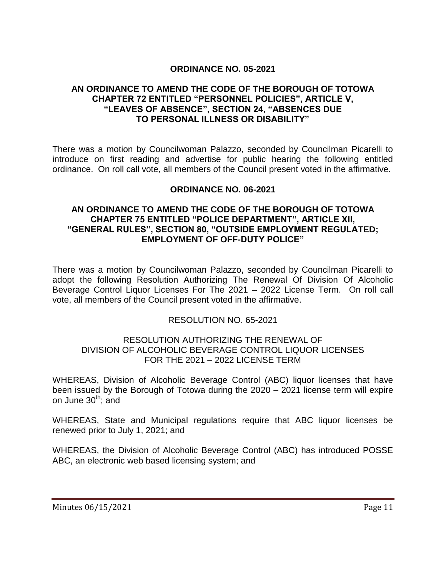## **ORDINANCE NO. 05-2021**

### **AN ORDINANCE TO AMEND THE CODE OF THE BOROUGH OF TOTOWA CHAPTER 72 ENTITLED "PERSONNEL POLICIES", ARTICLE V, "LEAVES OF ABSENCE", SECTION 24, "ABSENCES DUE TO PERSONAL ILLNESS OR DISABILITY"**

There was a motion by Councilwoman Palazzo, seconded by Councilman Picarelli to introduce on first reading and advertise for public hearing the following entitled ordinance. On roll call vote, all members of the Council present voted in the affirmative.

### **ORDINANCE NO. 06-2021**

### **AN ORDINANCE TO AMEND THE CODE OF THE BOROUGH OF TOTOWA CHAPTER 75 ENTITLED "POLICE DEPARTMENT", ARTICLE XII, "GENERAL RULES", SECTION 80, "OUTSIDE EMPLOYMENT REGULATED; EMPLOYMENT OF OFF-DUTY POLICE"**

There was a motion by Councilwoman Palazzo, seconded by Councilman Picarelli to adopt the following Resolution Authorizing The Renewal Of Division Of Alcoholic Beverage Control Liquor Licenses For The 2021 – 2022 License Term. On roll call vote, all members of the Council present voted in the affirmative.

### RESOLUTION NO. 65-2021

### RESOLUTION AUTHORIZING THE RENEWAL OF DIVISION OF ALCOHOLIC BEVERAGE CONTROL LIQUOR LICENSES FOR THE 2021 – 2022 LICENSE TERM

WHEREAS, Division of Alcoholic Beverage Control (ABC) liquor licenses that have been issued by the Borough of Totowa during the 2020 – 2021 license term will expire on June  $30<sup>th</sup>$ ; and

WHEREAS, State and Municipal regulations require that ABC liquor licenses be renewed prior to July 1, 2021; and

WHEREAS, the Division of Alcoholic Beverage Control (ABC) has introduced POSSE ABC, an electronic web based licensing system; and